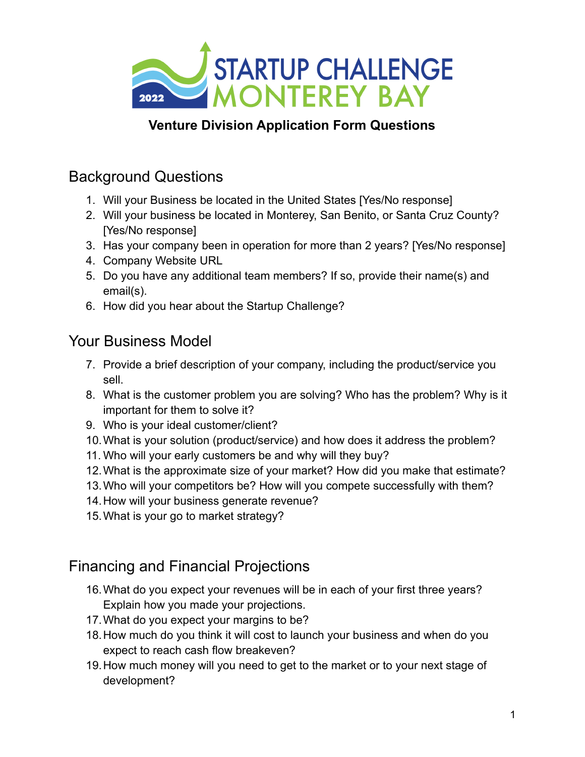

### **Venture Division Application Form Questions**

# Background Questions

- 1. Will your Business be located in the United States [Yes/No response]
- 2. Will your business be located in Monterey, San Benito, or Santa Cruz County? [Yes/No response]
- 3. Has your company been in operation for more than 2 years? [Yes/No response]
- 4. Company Website URL
- 5. Do you have any additional team members? If so, provide their name(s) and email(s).
- 6. How did you hear about the Startup Challenge?

#### Your Business Model

- 7. Provide a brief description of your company, including the product/service you sell.
- 8. What is the customer problem you are solving? Who has the problem? Why is it important for them to solve it?
- 9. Who is your ideal customer/client?
- 10.What is your solution (product/service) and how does it address the problem?
- 11. Who will your early customers be and why will they buy?
- 12.What is the approximate size of your market? How did you make that estimate?
- 13.Who will your competitors be? How will you compete successfully with them?
- 14.How will your business generate revenue?
- 15.What is your go to market strategy?

## Financing and Financial Projections

- 16.What do you expect your revenues will be in each of your first three years? Explain how you made your projections.
- 17.What do you expect your margins to be?
- 18.How much do you think it will cost to launch your business and when do you expect to reach cash flow breakeven?
- 19.How much money will you need to get to the market or to your next stage of development?